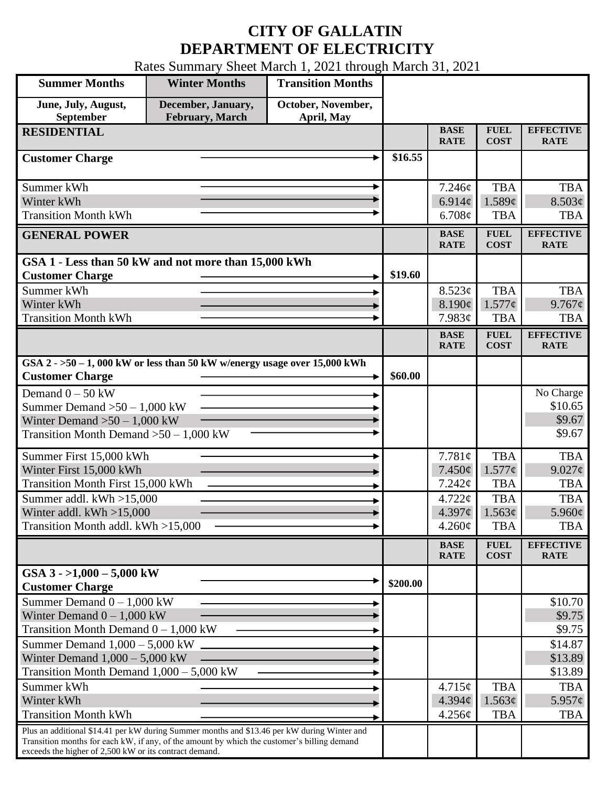## **CITY OF GALLATIN DEPARTMENT OF ELECTRICITY**

Rates Summary Sheet March 1, 2021 through March 31, 2021

| <b>Summer Months</b>                                                                                                                                                                       | <b>Winter Months</b>                  | <b>Transition Months</b>         |          |                            |                            |                                 |
|--------------------------------------------------------------------------------------------------------------------------------------------------------------------------------------------|---------------------------------------|----------------------------------|----------|----------------------------|----------------------------|---------------------------------|
| June, July, August,<br>September                                                                                                                                                           | December, January,<br>February, March | October, November,<br>April, May |          |                            |                            |                                 |
| <b>RESIDENTIAL</b>                                                                                                                                                                         |                                       |                                  |          | <b>BASE</b><br><b>RATE</b> | <b>FUEL</b><br><b>COST</b> | <b>EFFECTIVE</b><br><b>RATE</b> |
| <b>Customer Charge</b>                                                                                                                                                                     |                                       |                                  | \$16.55  |                            |                            |                                 |
| Summer kWh                                                                                                                                                                                 |                                       |                                  |          | 7.246¢                     | <b>TBA</b>                 | <b>TBA</b>                      |
| Winter kWh                                                                                                                                                                                 |                                       |                                  |          | 6.914 $\phi$               | 1.589¢                     | 8.503¢                          |
| <b>Transition Month kWh</b>                                                                                                                                                                |                                       |                                  |          | 6.708¢                     | <b>TBA</b>                 | <b>TBA</b>                      |
| <b>GENERAL POWER</b>                                                                                                                                                                       |                                       |                                  |          | <b>BASE</b><br><b>RATE</b> | <b>FUEL</b><br><b>COST</b> | <b>EFFECTIVE</b><br><b>RATE</b> |
| GSA 1 - Less than 50 kW and not more than 15,000 kWh                                                                                                                                       |                                       |                                  |          |                            |                            |                                 |
| <b>Customer Charge</b>                                                                                                                                                                     |                                       |                                  | \$19.60  |                            |                            |                                 |
| Summer kWh                                                                                                                                                                                 |                                       |                                  |          | 8.523¢                     | <b>TBA</b>                 | <b>TBA</b>                      |
| Winter kWh<br><b>Transition Month kWh</b>                                                                                                                                                  |                                       |                                  |          | 8.190¢                     | $1.577\phi$                | $9.767$ ¢                       |
|                                                                                                                                                                                            |                                       |                                  |          | 7.983¢                     | <b>TBA</b>                 | <b>TBA</b>                      |
|                                                                                                                                                                                            |                                       |                                  |          | <b>BASE</b><br><b>RATE</b> | <b>FUEL</b><br><b>COST</b> | <b>EFFECTIVE</b><br><b>RATE</b> |
| GSA $2 - 50 - 1$ , 000 kW or less than 50 kW w/energy usage over 15,000 kWh<br><b>Customer Charge</b>                                                                                      |                                       |                                  | \$60.00  |                            |                            |                                 |
| Demand $0 - 50$ kW                                                                                                                                                                         |                                       |                                  |          |                            |                            | No Charge                       |
| Summer Demand $>50-1,000$ kW                                                                                                                                                               |                                       |                                  |          |                            |                            | \$10.65                         |
| Winter Demand $>50-1,000$ kW                                                                                                                                                               |                                       |                                  |          |                            |                            | \$9.67                          |
| Transition Month Demand $>50-1,000$ kW                                                                                                                                                     |                                       |                                  |          |                            |                            | \$9.67                          |
| Summer First 15,000 kWh                                                                                                                                                                    |                                       |                                  |          | 7.781¢                     | <b>TBA</b>                 | <b>TBA</b>                      |
| Winter First 15,000 kWh                                                                                                                                                                    |                                       |                                  | 7.450¢   | $1.577\phi$                | $9.027$ ¢                  |                                 |
| Transition Month First 15,000 kWh                                                                                                                                                          |                                       |                                  |          | 7.242¢                     | <b>TBA</b>                 | <b>TBA</b>                      |
| Summer addl. $kWh > 15,000$                                                                                                                                                                |                                       |                                  |          | 4.722¢                     | <b>TBA</b>                 | <b>TBA</b>                      |
| Winter addl. $kWh > 15,000$                                                                                                                                                                |                                       |                                  |          | 4.397c                     | 1.563¢                     | $5.960\varphi$                  |
| Transition Month addl. kWh >15,000                                                                                                                                                         |                                       |                                  |          | 4.260¢                     | <b>TBA</b>                 | <b>TBA</b>                      |
|                                                                                                                                                                                            |                                       |                                  |          | <b>BASE</b><br><b>RATE</b> | <b>FUEL</b><br><b>COST</b> | <b>EFFECTIVE</b><br><b>RATE</b> |
| GSA $3 - 1,000 - 5,000$ kW<br><b>Customer Charge</b>                                                                                                                                       |                                       |                                  | \$200.00 |                            |                            |                                 |
| Summer Demand $0 - 1,000$ kW                                                                                                                                                               |                                       |                                  |          |                            |                            | \$10.70                         |
| Winter Demand $0 - 1,000$ kW                                                                                                                                                               |                                       |                                  |          |                            |                            | \$9.75                          |
| Transition Month Demand $0 - 1,000$ kW                                                                                                                                                     |                                       |                                  |          |                            |                            | \$9.75                          |
| Summer Demand $1,000 - 5,000$ kW                                                                                                                                                           |                                       |                                  |          |                            |                            | \$14.87                         |
| Winter Demand $1,000 - 5,000$ kW                                                                                                                                                           |                                       |                                  |          |                            |                            | \$13.89                         |
| Transition Month Demand $1,000 - 5,000$ kW                                                                                                                                                 |                                       |                                  |          |                            |                            | \$13.89                         |
| Summer kWh                                                                                                                                                                                 |                                       |                                  |          | 4.715¢                     | <b>TBA</b>                 | <b>TBA</b>                      |
| Winter kWh                                                                                                                                                                                 |                                       |                                  |          | 4.394¢                     | 1.563¢                     | $5.957\phi$                     |
| <b>Transition Month kWh</b>                                                                                                                                                                |                                       |                                  |          | 4.256¢                     | <b>TBA</b>                 | <b>TBA</b>                      |
| Plus an additional \$14.41 per kW during Summer months and \$13.46 per kW during Winter and<br>Transition months for each kW, if any, of the amount by which the customer's billing demand |                                       |                                  |          |                            |                            |                                 |
| exceeds the higher of 2,500 kW or its contract demand.                                                                                                                                     |                                       |                                  |          |                            |                            |                                 |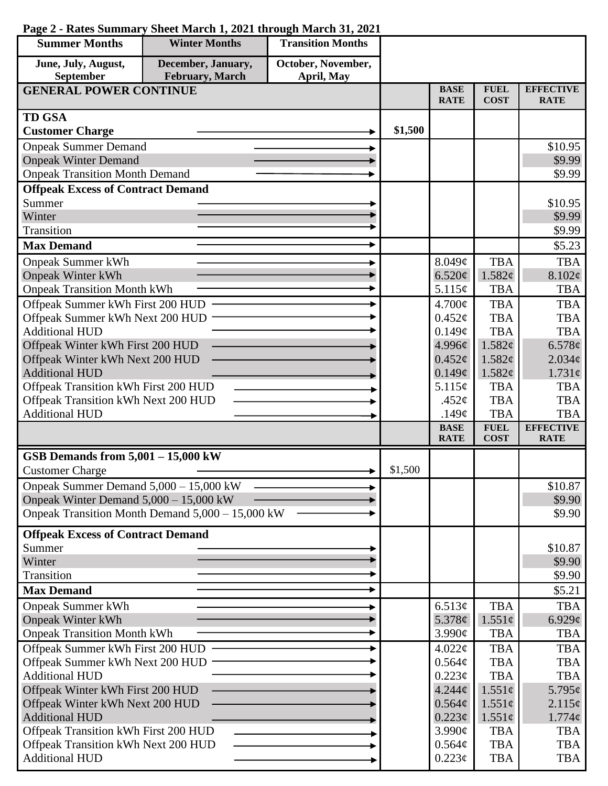| <b>Summer Months</b>                                          | <b>Winter Months</b>                             | <b>Transition Months</b> |         |                                    |                            |                                 |
|---------------------------------------------------------------|--------------------------------------------------|--------------------------|---------|------------------------------------|----------------------------|---------------------------------|
| June, July, August,                                           | December, January,                               | October, November,       |         |                                    |                            |                                 |
| September                                                     | February, March                                  | April, May               |         |                                    |                            |                                 |
| <b>GENERAL POWER CONTINUE</b>                                 |                                                  |                          |         | <b>BASE</b><br><b>RATE</b>         | <b>FUEL</b><br><b>COST</b> | <b>EFFECTIVE</b><br><b>RATE</b> |
| <b>TD GSA</b>                                                 |                                                  |                          |         |                                    |                            |                                 |
| <b>Customer Charge</b>                                        |                                                  |                          | \$1,500 |                                    |                            |                                 |
| <b>Onpeak Summer Demand</b>                                   |                                                  |                          |         |                                    |                            | \$10.95                         |
| <b>Onpeak Winter Demand</b>                                   |                                                  |                          |         |                                    |                            | \$9.99                          |
| <b>Onpeak Transition Month Demand</b>                         |                                                  |                          |         |                                    |                            | \$9.99                          |
| <b>Offpeak Excess of Contract Demand</b>                      |                                                  |                          |         |                                    |                            |                                 |
| Summer                                                        |                                                  |                          |         |                                    |                            | \$10.95                         |
| Winter                                                        |                                                  |                          |         |                                    |                            | \$9.99                          |
| Transition                                                    |                                                  |                          |         |                                    |                            | \$9.99                          |
| <b>Max Demand</b>                                             |                                                  |                          |         |                                    |                            | \$5.23                          |
| <b>Onpeak Summer kWh</b>                                      |                                                  |                          |         | 8.049¢                             | <b>TBA</b>                 | <b>TBA</b>                      |
| <b>Onpeak Winter kWh</b>                                      |                                                  |                          |         | 6.520¢                             | 1.582¢                     | 8.102¢                          |
| <b>Onpeak Transition Month kWh</b>                            |                                                  |                          |         | 5.115¢                             | <b>TBA</b>                 | <b>TBA</b>                      |
| Offpeak Summer kWh First 200 HUD                              |                                                  |                          |         | 4.700¢                             | <b>TBA</b>                 | <b>TBA</b>                      |
| Offpeak Summer kWh Next 200 HUD                               |                                                  |                          |         | $0.452\mathcal{C}$                 | <b>TBA</b>                 | <b>TBA</b>                      |
| <b>Additional HUD</b>                                         |                                                  |                          |         | 0.149¢                             | <b>TBA</b>                 | <b>TBA</b>                      |
| Offpeak Winter kWh First 200 HUD                              |                                                  |                          |         | 4.996¢                             | 1.582¢                     | 6.578¢                          |
| Offpeak Winter kWh Next 200 HUD                               |                                                  |                          |         | $0.452\epsilon$                    | 1.582¢                     | $2.034\phi$                     |
| <b>Additional HUD</b><br>Offpeak Transition kWh First 200 HUD |                                                  |                          |         | 0.149¢<br>5.115¢                   | 1.582¢<br><b>TBA</b>       | $1.731\epsilon$<br><b>TBA</b>   |
|                                                               |                                                  |                          |         | .452 $\varphi$                     | <b>TBA</b>                 | <b>TBA</b>                      |
| Offpeak Transition kWh Next 200 HUD<br><b>Additional HUD</b>  |                                                  |                          |         | .149 $\phi$                        | <b>TBA</b>                 | <b>TBA</b>                      |
|                                                               |                                                  |                          |         | <b>BASE</b>                        | <b>FUEL</b>                | <b>EFFECTIVE</b>                |
|                                                               |                                                  |                          |         | <b>RATE</b>                        | <b>COST</b>                | <b>RATE</b>                     |
| GSB Demands from $5,001 - 15,000$ kW                          |                                                  |                          |         |                                    |                            |                                 |
| <b>Customer Charge</b>                                        |                                                  |                          | \$1,500 |                                    |                            |                                 |
| Onpeak Summer Demand 5,000 - 15,000 kW                        |                                                  |                          |         |                                    |                            | \$10.87                         |
| Onpeak Winter Demand 5,000 - 15,000 kW                        |                                                  |                          |         |                                    |                            | \$9.90                          |
|                                                               | Onpeak Transition Month Demand 5,000 – 15,000 kW |                          |         |                                    |                            | \$9.90                          |
| <b>Offpeak Excess of Contract Demand</b>                      |                                                  |                          |         |                                    |                            |                                 |
| Summer                                                        |                                                  |                          |         |                                    |                            | \$10.87                         |
| Winter                                                        |                                                  |                          |         |                                    |                            | \$9.90                          |
| Transition                                                    |                                                  |                          |         |                                    |                            | \$9.90                          |
| <b>Max Demand</b>                                             |                                                  |                          |         |                                    |                            | \$5.21                          |
| <b>Onpeak Summer kWh</b>                                      |                                                  |                          |         | 6.513¢                             | <b>TBA</b>                 | <b>TBA</b>                      |
| <b>Onpeak Winter kWh</b>                                      |                                                  |                          |         | 5.378 $\phi$                       | $1.551\phi$                | $6.929\mathcal{C}$              |
| <b>Onpeak Transition Month kWh</b>                            |                                                  |                          |         | 3.990¢                             | <b>TBA</b>                 | <b>TBA</b>                      |
| Offpeak Summer kWh First 200 HUD                              |                                                  |                          |         | $4.022\phi$                        | <b>TBA</b>                 | <b>TBA</b>                      |
| Offpeak Summer kWh Next 200 HUD                               |                                                  |                          |         | 0.564¢                             | <b>TBA</b>                 | <b>TBA</b>                      |
| <b>Additional HUD</b>                                         |                                                  |                          |         | $0.223\phi$                        | <b>TBA</b>                 | <b>TBA</b>                      |
| Offpeak Winter kWh First 200 HUD                              |                                                  |                          |         | $4.244\phi$                        | $1.551\phi$                | $5.795\epsilon$                 |
| Offpeak Winter kWh Next 200 HUD<br><b>Additional HUD</b>      |                                                  |                          |         | 0.564¢                             | $1.551\phi$                | $2.115\phi$                     |
| Offpeak Transition kWh First 200 HUD                          |                                                  |                          |         | $0.223\epsilon$<br>$3.990\text{¢}$ | $1.551\phi$<br><b>TBA</b>  | $1.774\phi$<br><b>TBA</b>       |
| Offpeak Transition kWh Next 200 HUD                           |                                                  |                          |         | $0.564\phi$                        | <b>TBA</b>                 | <b>TBA</b>                      |
| <b>Additional HUD</b>                                         |                                                  |                          |         | $0.223\phi$                        | <b>TBA</b>                 | <b>TBA</b>                      |
|                                                               |                                                  |                          |         |                                    |                            |                                 |

## **Page 2 - Rates Summary Sheet March 1, 2021 through March 31, 2021**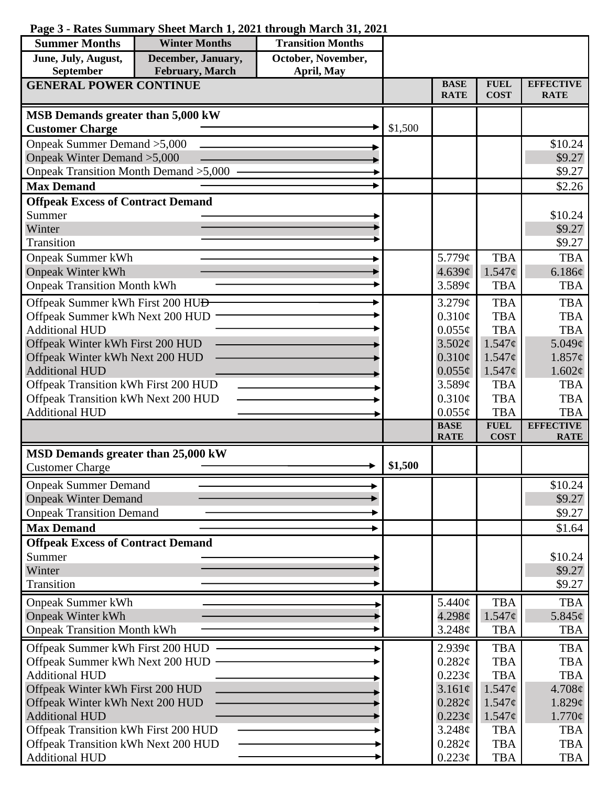## **Page 3 - Rates Summary Sheet March 1, 2021 through March 31, 2021**

| June, July, August,<br>December, January,<br>October, November,<br>February, March<br>September<br>April, May<br><b>EFFECTIVE</b><br><b>GENERAL POWER CONTINUE</b><br><b>BASE</b><br><b>FUEL</b><br><b>COST</b><br><b>RATE</b><br><b>RATE</b><br>MSB Demands greater than 5,000 kW<br>\$1,500<br><b>Customer Charge</b><br>Onpeak Summer Demand > 5,000<br>\$10.24<br>Onpeak Winter Demand > 5,000<br>\$9.27<br>Onpeak Transition Month Demand > 5,000<br>\$9.27<br><b>Max Demand</b><br>\$2.26<br><b>Offpeak Excess of Contract Demand</b><br>Summer<br>\$10.24<br>Winter<br>\$9.27<br>Transition<br>\$9.27<br><b>TBA</b><br>5.779 $\phi$<br><b>Onpeak Summer kWh</b><br><b>TBA</b><br>1.547¢<br><b>Onpeak Winter kWh</b><br>4.639c<br>6.186¢<br><b>Onpeak Transition Month kWh</b><br>3.589¢<br><b>TBA</b><br><b>TBA</b><br>3.279¢<br><b>TBA</b><br><b>TBA</b><br>Offpeak Summer kWh First 200 HU <del>D</del><br>Offpeak Summer kWh Next 200 HUD<br>0.310¢<br><b>TBA</b><br><b>TBA</b><br><b>Additional HUD</b><br>$0.055\phi$<br><b>TBA</b><br><b>TBA</b><br>$1.547\phi$<br>Offpeak Winter kWh First 200 HUD<br>3.502¢<br>5.049¢<br>$0.310\phi$<br>Offpeak Winter kWh Next 200 HUD<br>$1.547\phi$<br>$1.857\phi$<br><b>Additional HUD</b><br>$0.055\phi$<br>1.547¢<br>1.602¢<br>Offpeak Transition kWh First 200 HUD<br>3.589¢<br><b>TBA</b><br><b>TBA</b><br>Offpeak Transition kWh Next 200 HUD<br>0.310¢<br><b>TBA</b><br><b>TBA</b><br><b>Additional HUD</b><br>0.055¢<br><b>TBA</b><br><b>TBA</b><br><b>BASE</b><br><b>FUEL</b><br><b>EFFECTIVE</b><br><b>RATE</b><br><b>COST</b><br><b>RATE</b><br>MSD Demands greater than 25,000 kW<br>\$1,500<br><b>Customer Charge</b><br><b>Onpeak Summer Demand</b><br>\$10.24<br>\$9.27<br><b>Onpeak Winter Demand</b><br><b>Onpeak Transition Demand</b><br>\$9.27<br><b>Max Demand</b><br>\$1.64<br><b>Offpeak Excess of Contract Demand</b><br>Summer<br>\$10.24<br>Winter<br>\$9.27<br>Transition<br>\$9.27<br><b>TBA</b><br>5.440¢<br><b>Onpeak Summer kWh</b><br><b>TBA</b><br>$1.547\phi$<br>$4.298\phi$<br>$5.845\ell$<br><b>Onpeak Winter kWh</b><br><b>Onpeak Transition Month kWh</b><br>3.248 <sub>c</sub><br><b>TBA</b><br><b>TBA</b><br>Offpeak Summer kWh First 200 HUD<br>2.939¢<br><b>TBA</b><br><b>TBA</b><br>Offpeak Summer kWh Next 200 HUD<br>0.282¢<br><b>TBA</b><br><b>TBA</b><br><b>Additional HUD</b><br><b>TBA</b><br><b>TBA</b><br>$0.223\phi$<br>$1.547\phi$<br>Offpeak Winter kWh First 200 HUD<br>3.161¢<br>4.708¢<br>0.282¢<br>Offpeak Winter kWh Next 200 HUD<br>$1.547\phi$<br>1.829¢<br><b>Additional HUD</b><br>$0.223\phi$<br>1.547¢<br>$1.770\phi$<br>Offpeak Transition kWh First 200 HUD<br>$3.248\phi$<br><b>TBA</b><br><b>TBA</b><br>$0.282\ell$<br>Offpeak Transition kWh Next 200 HUD<br><b>TBA</b><br><b>TBA</b> | <b>Summer Months</b>  | <b>Winter Months</b> | <b>Transition Months</b> |        |            |            |
|---------------------------------------------------------------------------------------------------------------------------------------------------------------------------------------------------------------------------------------------------------------------------------------------------------------------------------------------------------------------------------------------------------------------------------------------------------------------------------------------------------------------------------------------------------------------------------------------------------------------------------------------------------------------------------------------------------------------------------------------------------------------------------------------------------------------------------------------------------------------------------------------------------------------------------------------------------------------------------------------------------------------------------------------------------------------------------------------------------------------------------------------------------------------------------------------------------------------------------------------------------------------------------------------------------------------------------------------------------------------------------------------------------------------------------------------------------------------------------------------------------------------------------------------------------------------------------------------------------------------------------------------------------------------------------------------------------------------------------------------------------------------------------------------------------------------------------------------------------------------------------------------------------------------------------------------------------------------------------------------------------------------------------------------------------------------------------------------------------------------------------------------------------------------------------------------------------------------------------------------------------------------------------------------------------------------------------------------------------------------------------------------------------------------------------------------------------------------------------------------------------------------------------------------------------------------------------------------------------------------------------------------------------------------------------------------------------------------------------------------------------------------------------------------------------------|-----------------------|----------------------|--------------------------|--------|------------|------------|
|                                                                                                                                                                                                                                                                                                                                                                                                                                                                                                                                                                                                                                                                                                                                                                                                                                                                                                                                                                                                                                                                                                                                                                                                                                                                                                                                                                                                                                                                                                                                                                                                                                                                                                                                                                                                                                                                                                                                                                                                                                                                                                                                                                                                                                                                                                                                                                                                                                                                                                                                                                                                                                                                                                                                                                                                               |                       |                      |                          |        |            |            |
|                                                                                                                                                                                                                                                                                                                                                                                                                                                                                                                                                                                                                                                                                                                                                                                                                                                                                                                                                                                                                                                                                                                                                                                                                                                                                                                                                                                                                                                                                                                                                                                                                                                                                                                                                                                                                                                                                                                                                                                                                                                                                                                                                                                                                                                                                                                                                                                                                                                                                                                                                                                                                                                                                                                                                                                                               |                       |                      |                          |        |            |            |
|                                                                                                                                                                                                                                                                                                                                                                                                                                                                                                                                                                                                                                                                                                                                                                                                                                                                                                                                                                                                                                                                                                                                                                                                                                                                                                                                                                                                                                                                                                                                                                                                                                                                                                                                                                                                                                                                                                                                                                                                                                                                                                                                                                                                                                                                                                                                                                                                                                                                                                                                                                                                                                                                                                                                                                                                               |                       |                      |                          |        |            |            |
|                                                                                                                                                                                                                                                                                                                                                                                                                                                                                                                                                                                                                                                                                                                                                                                                                                                                                                                                                                                                                                                                                                                                                                                                                                                                                                                                                                                                                                                                                                                                                                                                                                                                                                                                                                                                                                                                                                                                                                                                                                                                                                                                                                                                                                                                                                                                                                                                                                                                                                                                                                                                                                                                                                                                                                                                               |                       |                      |                          |        |            |            |
|                                                                                                                                                                                                                                                                                                                                                                                                                                                                                                                                                                                                                                                                                                                                                                                                                                                                                                                                                                                                                                                                                                                                                                                                                                                                                                                                                                                                                                                                                                                                                                                                                                                                                                                                                                                                                                                                                                                                                                                                                                                                                                                                                                                                                                                                                                                                                                                                                                                                                                                                                                                                                                                                                                                                                                                                               |                       |                      |                          |        |            |            |
|                                                                                                                                                                                                                                                                                                                                                                                                                                                                                                                                                                                                                                                                                                                                                                                                                                                                                                                                                                                                                                                                                                                                                                                                                                                                                                                                                                                                                                                                                                                                                                                                                                                                                                                                                                                                                                                                                                                                                                                                                                                                                                                                                                                                                                                                                                                                                                                                                                                                                                                                                                                                                                                                                                                                                                                                               |                       |                      |                          |        |            |            |
|                                                                                                                                                                                                                                                                                                                                                                                                                                                                                                                                                                                                                                                                                                                                                                                                                                                                                                                                                                                                                                                                                                                                                                                                                                                                                                                                                                                                                                                                                                                                                                                                                                                                                                                                                                                                                                                                                                                                                                                                                                                                                                                                                                                                                                                                                                                                                                                                                                                                                                                                                                                                                                                                                                                                                                                                               |                       |                      |                          |        |            |            |
|                                                                                                                                                                                                                                                                                                                                                                                                                                                                                                                                                                                                                                                                                                                                                                                                                                                                                                                                                                                                                                                                                                                                                                                                                                                                                                                                                                                                                                                                                                                                                                                                                                                                                                                                                                                                                                                                                                                                                                                                                                                                                                                                                                                                                                                                                                                                                                                                                                                                                                                                                                                                                                                                                                                                                                                                               |                       |                      |                          |        |            |            |
|                                                                                                                                                                                                                                                                                                                                                                                                                                                                                                                                                                                                                                                                                                                                                                                                                                                                                                                                                                                                                                                                                                                                                                                                                                                                                                                                                                                                                                                                                                                                                                                                                                                                                                                                                                                                                                                                                                                                                                                                                                                                                                                                                                                                                                                                                                                                                                                                                                                                                                                                                                                                                                                                                                                                                                                                               |                       |                      |                          |        |            |            |
|                                                                                                                                                                                                                                                                                                                                                                                                                                                                                                                                                                                                                                                                                                                                                                                                                                                                                                                                                                                                                                                                                                                                                                                                                                                                                                                                                                                                                                                                                                                                                                                                                                                                                                                                                                                                                                                                                                                                                                                                                                                                                                                                                                                                                                                                                                                                                                                                                                                                                                                                                                                                                                                                                                                                                                                                               |                       |                      |                          |        |            |            |
|                                                                                                                                                                                                                                                                                                                                                                                                                                                                                                                                                                                                                                                                                                                                                                                                                                                                                                                                                                                                                                                                                                                                                                                                                                                                                                                                                                                                                                                                                                                                                                                                                                                                                                                                                                                                                                                                                                                                                                                                                                                                                                                                                                                                                                                                                                                                                                                                                                                                                                                                                                                                                                                                                                                                                                                                               |                       |                      |                          |        |            |            |
|                                                                                                                                                                                                                                                                                                                                                                                                                                                                                                                                                                                                                                                                                                                                                                                                                                                                                                                                                                                                                                                                                                                                                                                                                                                                                                                                                                                                                                                                                                                                                                                                                                                                                                                                                                                                                                                                                                                                                                                                                                                                                                                                                                                                                                                                                                                                                                                                                                                                                                                                                                                                                                                                                                                                                                                                               |                       |                      |                          |        |            |            |
|                                                                                                                                                                                                                                                                                                                                                                                                                                                                                                                                                                                                                                                                                                                                                                                                                                                                                                                                                                                                                                                                                                                                                                                                                                                                                                                                                                                                                                                                                                                                                                                                                                                                                                                                                                                                                                                                                                                                                                                                                                                                                                                                                                                                                                                                                                                                                                                                                                                                                                                                                                                                                                                                                                                                                                                                               |                       |                      |                          |        |            |            |
|                                                                                                                                                                                                                                                                                                                                                                                                                                                                                                                                                                                                                                                                                                                                                                                                                                                                                                                                                                                                                                                                                                                                                                                                                                                                                                                                                                                                                                                                                                                                                                                                                                                                                                                                                                                                                                                                                                                                                                                                                                                                                                                                                                                                                                                                                                                                                                                                                                                                                                                                                                                                                                                                                                                                                                                                               |                       |                      |                          |        |            |            |
|                                                                                                                                                                                                                                                                                                                                                                                                                                                                                                                                                                                                                                                                                                                                                                                                                                                                                                                                                                                                                                                                                                                                                                                                                                                                                                                                                                                                                                                                                                                                                                                                                                                                                                                                                                                                                                                                                                                                                                                                                                                                                                                                                                                                                                                                                                                                                                                                                                                                                                                                                                                                                                                                                                                                                                                                               |                       |                      |                          |        |            |            |
|                                                                                                                                                                                                                                                                                                                                                                                                                                                                                                                                                                                                                                                                                                                                                                                                                                                                                                                                                                                                                                                                                                                                                                                                                                                                                                                                                                                                                                                                                                                                                                                                                                                                                                                                                                                                                                                                                                                                                                                                                                                                                                                                                                                                                                                                                                                                                                                                                                                                                                                                                                                                                                                                                                                                                                                                               |                       |                      |                          |        |            |            |
|                                                                                                                                                                                                                                                                                                                                                                                                                                                                                                                                                                                                                                                                                                                                                                                                                                                                                                                                                                                                                                                                                                                                                                                                                                                                                                                                                                                                                                                                                                                                                                                                                                                                                                                                                                                                                                                                                                                                                                                                                                                                                                                                                                                                                                                                                                                                                                                                                                                                                                                                                                                                                                                                                                                                                                                                               |                       |                      |                          |        |            |            |
|                                                                                                                                                                                                                                                                                                                                                                                                                                                                                                                                                                                                                                                                                                                                                                                                                                                                                                                                                                                                                                                                                                                                                                                                                                                                                                                                                                                                                                                                                                                                                                                                                                                                                                                                                                                                                                                                                                                                                                                                                                                                                                                                                                                                                                                                                                                                                                                                                                                                                                                                                                                                                                                                                                                                                                                                               |                       |                      |                          |        |            |            |
|                                                                                                                                                                                                                                                                                                                                                                                                                                                                                                                                                                                                                                                                                                                                                                                                                                                                                                                                                                                                                                                                                                                                                                                                                                                                                                                                                                                                                                                                                                                                                                                                                                                                                                                                                                                                                                                                                                                                                                                                                                                                                                                                                                                                                                                                                                                                                                                                                                                                                                                                                                                                                                                                                                                                                                                                               |                       |                      |                          |        |            |            |
|                                                                                                                                                                                                                                                                                                                                                                                                                                                                                                                                                                                                                                                                                                                                                                                                                                                                                                                                                                                                                                                                                                                                                                                                                                                                                                                                                                                                                                                                                                                                                                                                                                                                                                                                                                                                                                                                                                                                                                                                                                                                                                                                                                                                                                                                                                                                                                                                                                                                                                                                                                                                                                                                                                                                                                                                               |                       |                      |                          |        |            |            |
|                                                                                                                                                                                                                                                                                                                                                                                                                                                                                                                                                                                                                                                                                                                                                                                                                                                                                                                                                                                                                                                                                                                                                                                                                                                                                                                                                                                                                                                                                                                                                                                                                                                                                                                                                                                                                                                                                                                                                                                                                                                                                                                                                                                                                                                                                                                                                                                                                                                                                                                                                                                                                                                                                                                                                                                                               |                       |                      |                          |        |            |            |
|                                                                                                                                                                                                                                                                                                                                                                                                                                                                                                                                                                                                                                                                                                                                                                                                                                                                                                                                                                                                                                                                                                                                                                                                                                                                                                                                                                                                                                                                                                                                                                                                                                                                                                                                                                                                                                                                                                                                                                                                                                                                                                                                                                                                                                                                                                                                                                                                                                                                                                                                                                                                                                                                                                                                                                                                               |                       |                      |                          |        |            |            |
|                                                                                                                                                                                                                                                                                                                                                                                                                                                                                                                                                                                                                                                                                                                                                                                                                                                                                                                                                                                                                                                                                                                                                                                                                                                                                                                                                                                                                                                                                                                                                                                                                                                                                                                                                                                                                                                                                                                                                                                                                                                                                                                                                                                                                                                                                                                                                                                                                                                                                                                                                                                                                                                                                                                                                                                                               |                       |                      |                          |        |            |            |
|                                                                                                                                                                                                                                                                                                                                                                                                                                                                                                                                                                                                                                                                                                                                                                                                                                                                                                                                                                                                                                                                                                                                                                                                                                                                                                                                                                                                                                                                                                                                                                                                                                                                                                                                                                                                                                                                                                                                                                                                                                                                                                                                                                                                                                                                                                                                                                                                                                                                                                                                                                                                                                                                                                                                                                                                               |                       |                      |                          |        |            |            |
|                                                                                                                                                                                                                                                                                                                                                                                                                                                                                                                                                                                                                                                                                                                                                                                                                                                                                                                                                                                                                                                                                                                                                                                                                                                                                                                                                                                                                                                                                                                                                                                                                                                                                                                                                                                                                                                                                                                                                                                                                                                                                                                                                                                                                                                                                                                                                                                                                                                                                                                                                                                                                                                                                                                                                                                                               |                       |                      |                          |        |            |            |
|                                                                                                                                                                                                                                                                                                                                                                                                                                                                                                                                                                                                                                                                                                                                                                                                                                                                                                                                                                                                                                                                                                                                                                                                                                                                                                                                                                                                                                                                                                                                                                                                                                                                                                                                                                                                                                                                                                                                                                                                                                                                                                                                                                                                                                                                                                                                                                                                                                                                                                                                                                                                                                                                                                                                                                                                               |                       |                      |                          |        |            |            |
|                                                                                                                                                                                                                                                                                                                                                                                                                                                                                                                                                                                                                                                                                                                                                                                                                                                                                                                                                                                                                                                                                                                                                                                                                                                                                                                                                                                                                                                                                                                                                                                                                                                                                                                                                                                                                                                                                                                                                                                                                                                                                                                                                                                                                                                                                                                                                                                                                                                                                                                                                                                                                                                                                                                                                                                                               |                       |                      |                          |        |            |            |
|                                                                                                                                                                                                                                                                                                                                                                                                                                                                                                                                                                                                                                                                                                                                                                                                                                                                                                                                                                                                                                                                                                                                                                                                                                                                                                                                                                                                                                                                                                                                                                                                                                                                                                                                                                                                                                                                                                                                                                                                                                                                                                                                                                                                                                                                                                                                                                                                                                                                                                                                                                                                                                                                                                                                                                                                               |                       |                      |                          |        |            |            |
|                                                                                                                                                                                                                                                                                                                                                                                                                                                                                                                                                                                                                                                                                                                                                                                                                                                                                                                                                                                                                                                                                                                                                                                                                                                                                                                                                                                                                                                                                                                                                                                                                                                                                                                                                                                                                                                                                                                                                                                                                                                                                                                                                                                                                                                                                                                                                                                                                                                                                                                                                                                                                                                                                                                                                                                                               |                       |                      |                          |        |            |            |
|                                                                                                                                                                                                                                                                                                                                                                                                                                                                                                                                                                                                                                                                                                                                                                                                                                                                                                                                                                                                                                                                                                                                                                                                                                                                                                                                                                                                                                                                                                                                                                                                                                                                                                                                                                                                                                                                                                                                                                                                                                                                                                                                                                                                                                                                                                                                                                                                                                                                                                                                                                                                                                                                                                                                                                                                               |                       |                      |                          |        |            |            |
|                                                                                                                                                                                                                                                                                                                                                                                                                                                                                                                                                                                                                                                                                                                                                                                                                                                                                                                                                                                                                                                                                                                                                                                                                                                                                                                                                                                                                                                                                                                                                                                                                                                                                                                                                                                                                                                                                                                                                                                                                                                                                                                                                                                                                                                                                                                                                                                                                                                                                                                                                                                                                                                                                                                                                                                                               |                       |                      |                          |        |            |            |
|                                                                                                                                                                                                                                                                                                                                                                                                                                                                                                                                                                                                                                                                                                                                                                                                                                                                                                                                                                                                                                                                                                                                                                                                                                                                                                                                                                                                                                                                                                                                                                                                                                                                                                                                                                                                                                                                                                                                                                                                                                                                                                                                                                                                                                                                                                                                                                                                                                                                                                                                                                                                                                                                                                                                                                                                               |                       |                      |                          |        |            |            |
|                                                                                                                                                                                                                                                                                                                                                                                                                                                                                                                                                                                                                                                                                                                                                                                                                                                                                                                                                                                                                                                                                                                                                                                                                                                                                                                                                                                                                                                                                                                                                                                                                                                                                                                                                                                                                                                                                                                                                                                                                                                                                                                                                                                                                                                                                                                                                                                                                                                                                                                                                                                                                                                                                                                                                                                                               |                       |                      |                          |        |            |            |
|                                                                                                                                                                                                                                                                                                                                                                                                                                                                                                                                                                                                                                                                                                                                                                                                                                                                                                                                                                                                                                                                                                                                                                                                                                                                                                                                                                                                                                                                                                                                                                                                                                                                                                                                                                                                                                                                                                                                                                                                                                                                                                                                                                                                                                                                                                                                                                                                                                                                                                                                                                                                                                                                                                                                                                                                               |                       |                      |                          |        |            |            |
|                                                                                                                                                                                                                                                                                                                                                                                                                                                                                                                                                                                                                                                                                                                                                                                                                                                                                                                                                                                                                                                                                                                                                                                                                                                                                                                                                                                                                                                                                                                                                                                                                                                                                                                                                                                                                                                                                                                                                                                                                                                                                                                                                                                                                                                                                                                                                                                                                                                                                                                                                                                                                                                                                                                                                                                                               |                       |                      |                          |        |            |            |
|                                                                                                                                                                                                                                                                                                                                                                                                                                                                                                                                                                                                                                                                                                                                                                                                                                                                                                                                                                                                                                                                                                                                                                                                                                                                                                                                                                                                                                                                                                                                                                                                                                                                                                                                                                                                                                                                                                                                                                                                                                                                                                                                                                                                                                                                                                                                                                                                                                                                                                                                                                                                                                                                                                                                                                                                               |                       |                      |                          |        |            |            |
|                                                                                                                                                                                                                                                                                                                                                                                                                                                                                                                                                                                                                                                                                                                                                                                                                                                                                                                                                                                                                                                                                                                                                                                                                                                                                                                                                                                                                                                                                                                                                                                                                                                                                                                                                                                                                                                                                                                                                                                                                                                                                                                                                                                                                                                                                                                                                                                                                                                                                                                                                                                                                                                                                                                                                                                                               |                       |                      |                          |        |            |            |
|                                                                                                                                                                                                                                                                                                                                                                                                                                                                                                                                                                                                                                                                                                                                                                                                                                                                                                                                                                                                                                                                                                                                                                                                                                                                                                                                                                                                                                                                                                                                                                                                                                                                                                                                                                                                                                                                                                                                                                                                                                                                                                                                                                                                                                                                                                                                                                                                                                                                                                                                                                                                                                                                                                                                                                                                               |                       |                      |                          |        |            |            |
|                                                                                                                                                                                                                                                                                                                                                                                                                                                                                                                                                                                                                                                                                                                                                                                                                                                                                                                                                                                                                                                                                                                                                                                                                                                                                                                                                                                                                                                                                                                                                                                                                                                                                                                                                                                                                                                                                                                                                                                                                                                                                                                                                                                                                                                                                                                                                                                                                                                                                                                                                                                                                                                                                                                                                                                                               |                       |                      |                          |        |            |            |
|                                                                                                                                                                                                                                                                                                                                                                                                                                                                                                                                                                                                                                                                                                                                                                                                                                                                                                                                                                                                                                                                                                                                                                                                                                                                                                                                                                                                                                                                                                                                                                                                                                                                                                                                                                                                                                                                                                                                                                                                                                                                                                                                                                                                                                                                                                                                                                                                                                                                                                                                                                                                                                                                                                                                                                                                               |                       |                      |                          |        |            |            |
|                                                                                                                                                                                                                                                                                                                                                                                                                                                                                                                                                                                                                                                                                                                                                                                                                                                                                                                                                                                                                                                                                                                                                                                                                                                                                                                                                                                                                                                                                                                                                                                                                                                                                                                                                                                                                                                                                                                                                                                                                                                                                                                                                                                                                                                                                                                                                                                                                                                                                                                                                                                                                                                                                                                                                                                                               |                       |                      |                          |        |            |            |
|                                                                                                                                                                                                                                                                                                                                                                                                                                                                                                                                                                                                                                                                                                                                                                                                                                                                                                                                                                                                                                                                                                                                                                                                                                                                                                                                                                                                                                                                                                                                                                                                                                                                                                                                                                                                                                                                                                                                                                                                                                                                                                                                                                                                                                                                                                                                                                                                                                                                                                                                                                                                                                                                                                                                                                                                               |                       |                      |                          |        |            |            |
|                                                                                                                                                                                                                                                                                                                                                                                                                                                                                                                                                                                                                                                                                                                                                                                                                                                                                                                                                                                                                                                                                                                                                                                                                                                                                                                                                                                                                                                                                                                                                                                                                                                                                                                                                                                                                                                                                                                                                                                                                                                                                                                                                                                                                                                                                                                                                                                                                                                                                                                                                                                                                                                                                                                                                                                                               |                       |                      |                          |        |            |            |
|                                                                                                                                                                                                                                                                                                                                                                                                                                                                                                                                                                                                                                                                                                                                                                                                                                                                                                                                                                                                                                                                                                                                                                                                                                                                                                                                                                                                                                                                                                                                                                                                                                                                                                                                                                                                                                                                                                                                                                                                                                                                                                                                                                                                                                                                                                                                                                                                                                                                                                                                                                                                                                                                                                                                                                                                               |                       |                      |                          |        |            |            |
|                                                                                                                                                                                                                                                                                                                                                                                                                                                                                                                                                                                                                                                                                                                                                                                                                                                                                                                                                                                                                                                                                                                                                                                                                                                                                                                                                                                                                                                                                                                                                                                                                                                                                                                                                                                                                                                                                                                                                                                                                                                                                                                                                                                                                                                                                                                                                                                                                                                                                                                                                                                                                                                                                                                                                                                                               |                       |                      |                          |        |            |            |
|                                                                                                                                                                                                                                                                                                                                                                                                                                                                                                                                                                                                                                                                                                                                                                                                                                                                                                                                                                                                                                                                                                                                                                                                                                                                                                                                                                                                                                                                                                                                                                                                                                                                                                                                                                                                                                                                                                                                                                                                                                                                                                                                                                                                                                                                                                                                                                                                                                                                                                                                                                                                                                                                                                                                                                                                               |                       |                      |                          |        |            |            |
|                                                                                                                                                                                                                                                                                                                                                                                                                                                                                                                                                                                                                                                                                                                                                                                                                                                                                                                                                                                                                                                                                                                                                                                                                                                                                                                                                                                                                                                                                                                                                                                                                                                                                                                                                                                                                                                                                                                                                                                                                                                                                                                                                                                                                                                                                                                                                                                                                                                                                                                                                                                                                                                                                                                                                                                                               | <b>Additional HUD</b> |                      |                          | 0.223¢ | <b>TBA</b> | <b>TBA</b> |